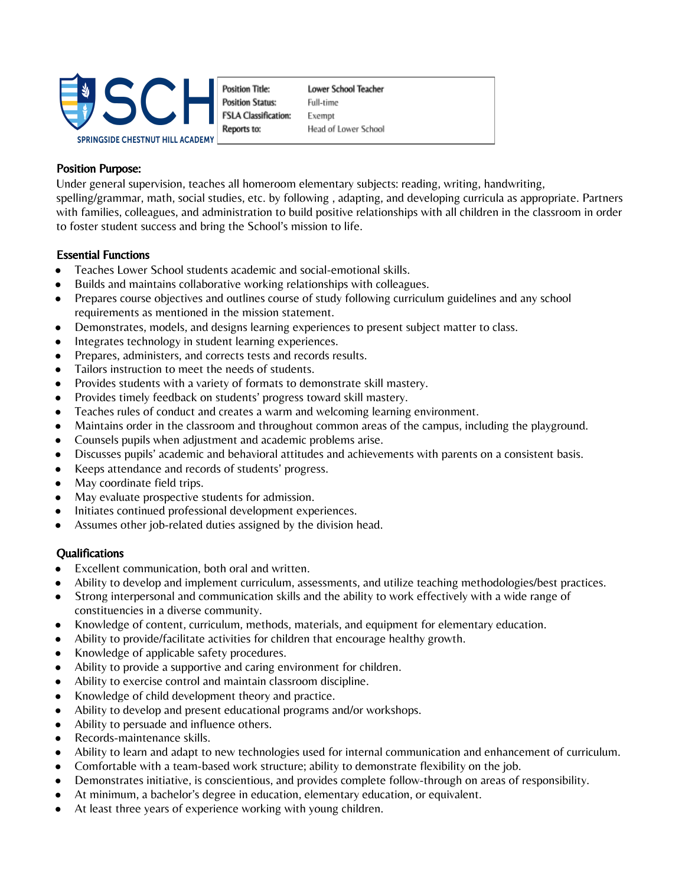

**Position Title: Position Status: FSLA Classification:** Reports to:

Lower School Teacher Full-time Exempt Head of Lower School

#### Position Purpose:

Under general supervision, teaches all homeroom elementary subjects: reading, writing, handwriting, spelling/grammar, math, social studies, etc. by following , adapting, and developing curricula as appropriate. Partners with families, colleagues, and administration to build positive relationships with all children in the classroom in order to foster student success and bring the School's mission to life.

### Essential Functions

- Teaches Lower School students academic and social-emotional skills.
- Builds and maintains collaborative working relationships with colleagues.
- Prepares course objectives and outlines course of study following curriculum guidelines and any school requirements as mentioned in the mission statement.
- Demonstrates, models, and designs learning experiences to present subject matter to class.
- Integrates technology in student learning experiences.
- Prepares, administers, and corrects tests and records results.
- Tailors instruction to meet the needs of students.
- Provides students with a variety of formats to demonstrate skill mastery.
- Provides timely feedback on students' progress toward skill mastery.
- Teaches rules of conduct and creates a warm and welcoming learning environment.
- Maintains order in the classroom and throughout common areas of the campus, including the playground.
- Counsels pupils when adjustment and academic problems arise.
- Discusses pupils' academic and behavioral attitudes and achievements with parents on a consistent basis.
- Keeps attendance and records of students' progress.
- May coordinate field trips.
- May evaluate prospective students for admission.
- Initiates continued professional development experiences.
- Assumes other job-related duties assigned by the division head.

### **Qualifications**

- Excellent communication, both oral and written.
- Ability to develop and implement curriculum, assessments, and utilize teaching methodologies/best practices.
- Strong interpersonal and communication skills and the ability to work effectively with a wide range of constituencies in a diverse community.
- Knowledge of content, curriculum, methods, materials, and equipment for elementary education.
- Ability to provide/facilitate activities for children that encourage healthy growth.
- Knowledge of applicable safety procedures.
- Ability to provide a supportive and caring environment for children.
- Ability to exercise control and maintain classroom discipline.
- Knowledge of child development theory and practice.
- Ability to develop and present educational programs and/or workshops.
- Ability to persuade and influence others.
- Records-maintenance skills.
- Ability to learn and adapt to new technologies used for internal communication and enhancement of curriculum.
- Comfortable with a team-based work structure; ability to demonstrate flexibility on the job.
- Demonstrates initiative, is conscientious, and provides complete follow-through on areas of responsibility.
- At minimum, a bachelor's degree in education, elementary education, or equivalent.
- At least three years of experience working with young children.